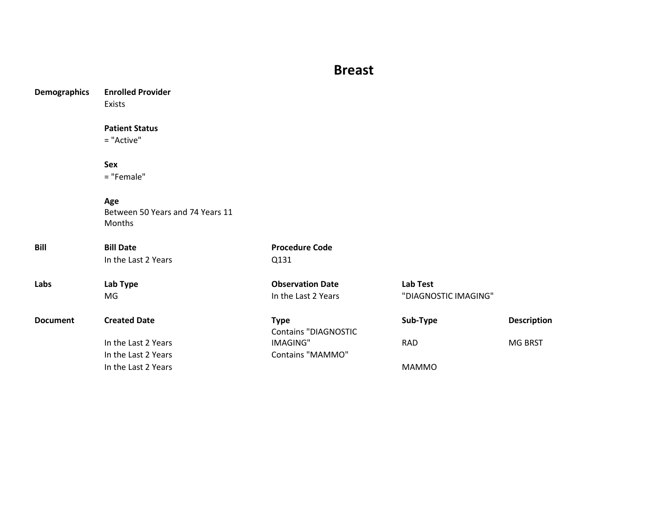## **Breast**

| <b>Demographics</b> | <b>Enrolled Provider</b>         |                             |                      |                    |
|---------------------|----------------------------------|-----------------------------|----------------------|--------------------|
|                     | Exists                           |                             |                      |                    |
|                     | <b>Patient Status</b>            |                             |                      |                    |
|                     | = "Active"                       |                             |                      |                    |
|                     | Sex                              |                             |                      |                    |
|                     | = "Female"                       |                             |                      |                    |
|                     | Age                              |                             |                      |                    |
|                     | Between 50 Years and 74 Years 11 |                             |                      |                    |
|                     | Months                           |                             |                      |                    |
| <b>Bill</b>         | <b>Bill Date</b>                 | <b>Procedure Code</b>       |                      |                    |
|                     | In the Last 2 Years              | Q131                        |                      |                    |
| Labs                | Lab Type                         | <b>Observation Date</b>     | <b>Lab Test</b>      |                    |
|                     | MG                               | In the Last 2 Years         | "DIAGNOSTIC IMAGING" |                    |
| <b>Document</b>     | <b>Created Date</b>              | <b>Type</b>                 | Sub-Type             | <b>Description</b> |
|                     |                                  | <b>Contains "DIAGNOSTIC</b> |                      |                    |
|                     | In the Last 2 Years              | <b>IMAGING"</b>             | <b>RAD</b>           | MG BRST            |
|                     | In the Last 2 Years              | <b>Contains "MAMMO"</b>     |                      |                    |
|                     | In the Last 2 Years              |                             | <b>MAMMO</b>         |                    |
|                     |                                  |                             |                      |                    |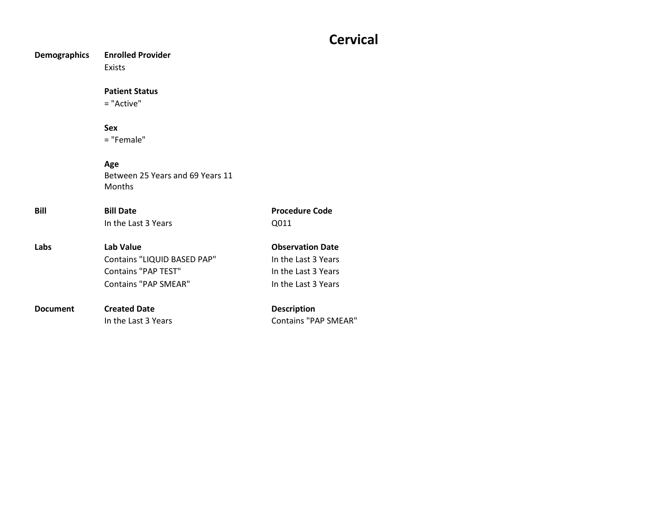## **Cervical**

**Demographics Enrolled Provider** Exists **Patient Status** = "Active" **Sex** = "Female" **Age** Between 25 Years and 69 Years 11 Months **Bill Bill Date Procedure Code** In the Last 3 Years COME COME COME CONTROL COME CONTROL CONTROL CONTROL CONTROL CONTROL CONTROL CONTROL CONTROL CONTROL CONTROL CONTROL CONTROL CONTROL CONTROL CONTROL CONTROL CONTROL CONTROL CONTROL CONTROL CONTROL CONTRO **Labs Lab Value Construction Date Construction Date** Contains "LIQUID BASED PAP" In the Last 3 Years Contains "PAP TEST" In the Last 3 Years Contains "PAP SMEAR" In the Last 3 Years **Document Created Date Description** In the Last 3 Years Contains "PAP SMEAR"